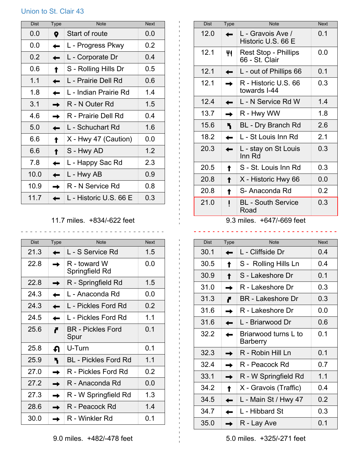## Union to St. Clair 43

| <b>Dist</b> | <b>Type</b> | <b>Note</b>            | <b>Next</b> |
|-------------|-------------|------------------------|-------------|
| 0.0         | 9           | Start of route         | 0.0         |
| 0.0         |             | L - Progress Pkwy      | 0.2         |
| 0.2         |             | L - Corporate Dr       | 0.4         |
| 0.6         |             | S - Rolling Hills Dr   | 0.5         |
| 1.1         |             | L - Prairie Dell Rd    | 0.6         |
| 1.8         |             | L - Indian Prairie Rd  | 1.4         |
| 3.1         |             | R - N Outer Rd         | 1.5         |
| 4.6         |             | R - Prairie Dell Rd    | 0.4         |
| 5.0         |             | L - Schuchart Rd       | 1.6         |
| 6.6         |             | X - Hwy 47 (Caution)   | 0.0         |
| 6.6         |             | S - Hwy AD             | 1.2         |
| 7.8         |             | L - Happy Sac Rd       | 2.3         |
| 10.0        |             | L - Hwy AB             | 0.9         |
| 10.9        |             | R - N Service Rd       | 0.8         |
| 11.7        |             | L - Historic U.S. 66 E | 0.3         |

## 11.7 miles. +834/-622 feet

| <b>Dist</b> | <b>Type</b> | <b>Note</b>                    | <b>Next</b> |
|-------------|-------------|--------------------------------|-------------|
| 21.3        |             | L - S Service Rd               | 15          |
| 22.8        |             | R - toward W<br>Springfield Rd | 0.0         |
| 22.8        |             | R - Springfield Rd             | 1.5         |
| 24.3        |             | L - Anaconda Rd                | 0.0         |
| 24.3        |             | L - Pickles Ford Rd            | 0.2         |
| 24.5        |             | I - Pickles Ford Rd            | 1.1         |
| 25.6        |             | BR - Pickles Ford<br>Spur      | 0 1         |
| 25.8        | ∩           | U-Turn                         | 0.1         |
| 25.9        |             | <b>BL</b> - Pickles Ford Rd    | 1.1         |
| 27 O        |             | R - Pickles Ford Rd            | 0.2         |
| 27.2        |             | R - Anaconda Rd                | 0.0         |
| 27.3        |             | R - W Springfield Rd           | 1.3         |
| 28.6        |             | R - Peacock Rd                 | 14          |
| 30.0        |             | R - Winkler Rd                 | 0.1         |

| <b>Dist</b> | <b>Type</b> | <b>Note</b>                                   | <b>Next</b> |
|-------------|-------------|-----------------------------------------------|-------------|
| 12.0        |             | L - Gravois Ave /<br>Historic U.S. 66 E       | 0.1         |
| 12.1        |             | <b>Rest Stop - Phillips</b><br>66 - St. Clair | 0.0         |
| 12.1        |             | L - out of Phillips 66                        | 0.1         |
| 12.1        |             | R - Historic U.S. 66<br>towards I-44          | 0.3         |
| 12.4        |             | L - N Service Rd W                            | 1.4         |
| 13.7        |             | R - Hwy WW                                    | 1.8         |
| 15.6        |             | <b>BL</b> - Dry Branch Rd                     | 2.6         |
| 18.2        |             | L - St Louis Inn Rd                           | 2.1         |
| 20.3        |             | L - stay on St Louis<br>Inn Rd                | 0.3         |
| 20.5        |             | S - St. Louis Inn Rd                          | 0.3         |
| 20.8        |             | X - Historic Hwy 66                           | 0.0         |
| 20.8        |             | S- Anaconda Rd                                | 0.2         |
| 21.0        |             | <b>BL</b> - South Service<br>Road<br>$\cdots$ | 0.3         |

9.3 miles. +647/-669 feet 

 $\sim 10^{-1}$ 

| Dist | Type | <b>Note</b>                      | <b>Next</b> |
|------|------|----------------------------------|-------------|
| 30.1 |      | L - Cliffside Dr                 | 0.4         |
| 30.5 |      | S - Rolling Hills Ln             | 0.4         |
| 30.9 |      | S - Lakeshore Dr                 | 0.1         |
| 31.0 |      | R - Lakeshore Dr                 | 0.3         |
| 31.3 |      | <b>BR</b> - Lakeshore Dr         | 0.3         |
| 31.6 |      | R - Lakeshore Dr                 | 0.0         |
| 31.6 |      | L - Briarwood Dr                 | 0.6         |
| 32.2 |      | Briarwood turns L to<br>Barberry | 0.1         |
| 32.3 |      | R - Robin Hill Ln                | 0.1         |
| 32.4 |      | R - Peacock Rd                   | 0.7         |
| 33.1 |      | R - W Springfield Rd             | 1.1         |
| 34.2 |      | X - Gravois (Traffic)            | 0.4         |
| 34.5 |      | L - Main St / Hwy 47             | 0.2         |
| 34.7 |      | L - Hibbard St                   | 0.3         |
| 35.0 |      | R - Lay Ave                      | 0.1         |